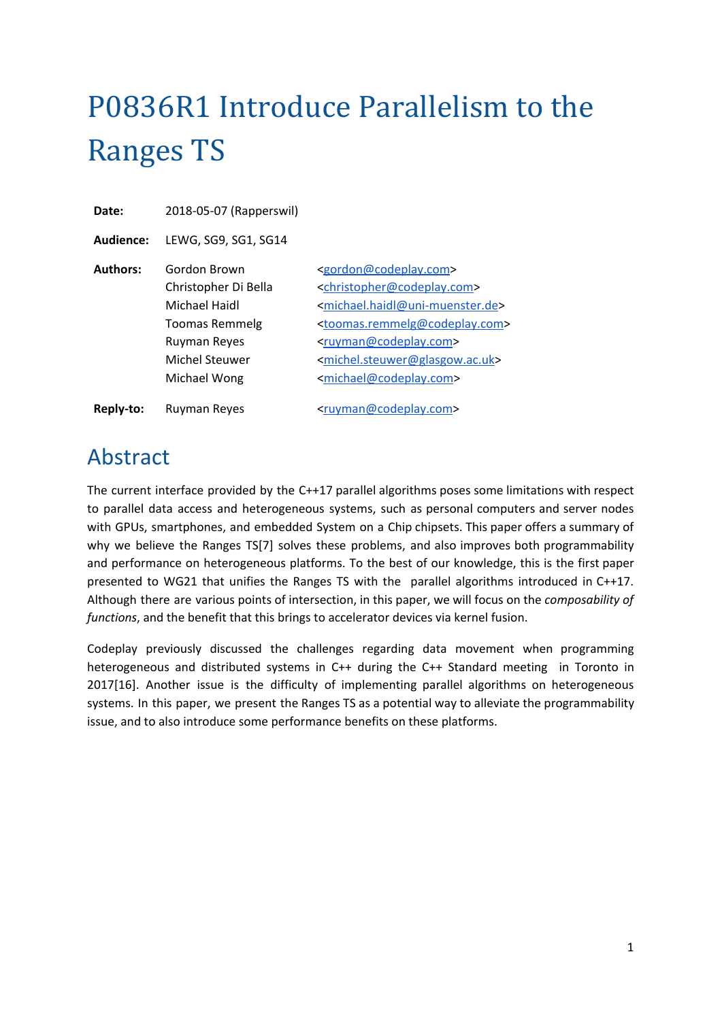# P0836R1 Introduce Parallelism to the Ranges TS

**Date:** 2018-05-07 (Rapperswil)

**Audience:** LEWG, SG9, SG1, SG14

| <b>Authors:</b> | Gordon Brown          | <gordon@codeplay.com></gordon@codeplay.com>                     |
|-----------------|-----------------------|-----------------------------------------------------------------|
|                 | Christopher Di Bella  | <christopher@codeplay.com></christopher@codeplay.com>           |
|                 | Michael Haidl         | <michael.haidl@uni-muenster.de></michael.haidl@uni-muenster.de> |
|                 | <b>Toomas Remmelg</b> | <toomas.remmelg@codeplay.com></toomas.remmelg@codeplay.com>     |
|                 | <b>Ruyman Reyes</b>   | <ruyman@codeplay.com></ruyman@codeplay.com>                     |
|                 | <b>Michel Steuwer</b> | <michel.steuwer@glasgow.ac.uk></michel.steuwer@glasgow.ac.uk>   |
|                 | Michael Wong          | <michael@codeplay.com></michael@codeplay.com>                   |
| Reply-to:       | <b>Ruyman Reyes</b>   | <ruyman@codeplay.com></ruyman@codeplay.com>                     |

### <span id="page-0-0"></span>Abstract

The current interface provided by the C++17 parallel algorithms poses some limitations with respect to parallel data access and heterogeneous systems, such as personal computers and server nodes with GPUs, smartphones, and embedded System on a Chip chipsets. This paper offers a summary of why we believe the Ranges TS[7] solves these problems, and also improves both programmability and performance on heterogeneous platforms. To the best of our knowledge, this is the first paper presented to WG21 that unifies the Ranges TS with the parallel algorithms introduced in C++17. Although there are various points of intersection, in this paper, we will focus on the *composability of functions*, and the benefit that this brings to accelerator devices via kernel fusion.

Codeplay previously discussed the challenges regarding data movement when programming heterogeneous and distributed systems in C++ during the C++ Standard meeting in Toronto in 2017[16]. Another issue is the difficulty of implementing parallel algorithms on heterogeneous systems. In this paper, we present the Ranges TS as a potential way to alleviate the programmability issue, and to also introduce some performance benefits on these platforms.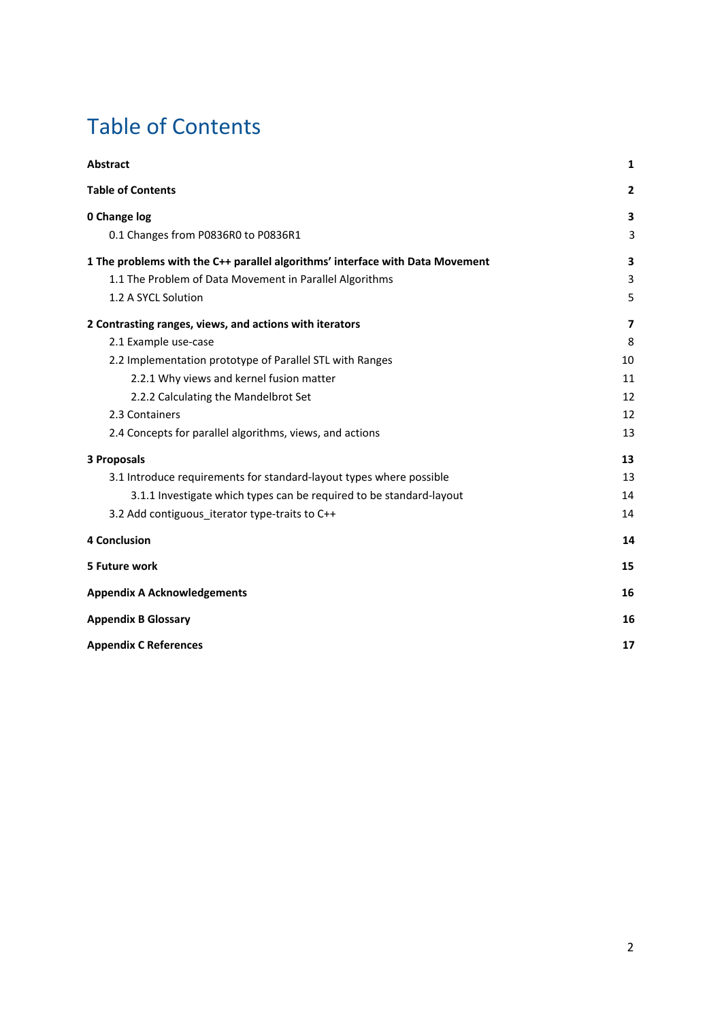## <span id="page-1-0"></span>Table of Contents

| <b>Abstract</b>                                                               | 1            |
|-------------------------------------------------------------------------------|--------------|
| <b>Table of Contents</b>                                                      | $\mathbf{2}$ |
| 0 Change log                                                                  | 3            |
| 0.1 Changes from P0836R0 to P0836R1                                           | 3            |
| 1 The problems with the C++ parallel algorithms' interface with Data Movement | 3            |
| 1.1 The Problem of Data Movement in Parallel Algorithms                       | 3            |
| 1.2 A SYCL Solution                                                           | 5            |
| 2 Contrasting ranges, views, and actions with iterators                       | 7            |
| 2.1 Example use-case                                                          | 8            |
| 2.2 Implementation prototype of Parallel STL with Ranges                      | 10           |
| 2.2.1 Why views and kernel fusion matter                                      | 11           |
| 2.2.2 Calculating the Mandelbrot Set                                          | 12           |
| 2.3 Containers                                                                | 12           |
| 2.4 Concepts for parallel algorithms, views, and actions                      | 13           |
| <b>3 Proposals</b>                                                            | 13           |
| 3.1 Introduce requirements for standard-layout types where possible           | 13           |
| 3.1.1 Investigate which types can be required to be standard-layout           | 14           |
| 3.2 Add contiguous iterator type-traits to C++                                | 14           |
| <b>4 Conclusion</b>                                                           | 14           |
| 5 Future work                                                                 | 15           |
| <b>Appendix A Acknowledgements</b>                                            | 16           |
| <b>Appendix B Glossary</b>                                                    | 16           |
| <b>Appendix C References</b>                                                  | 17           |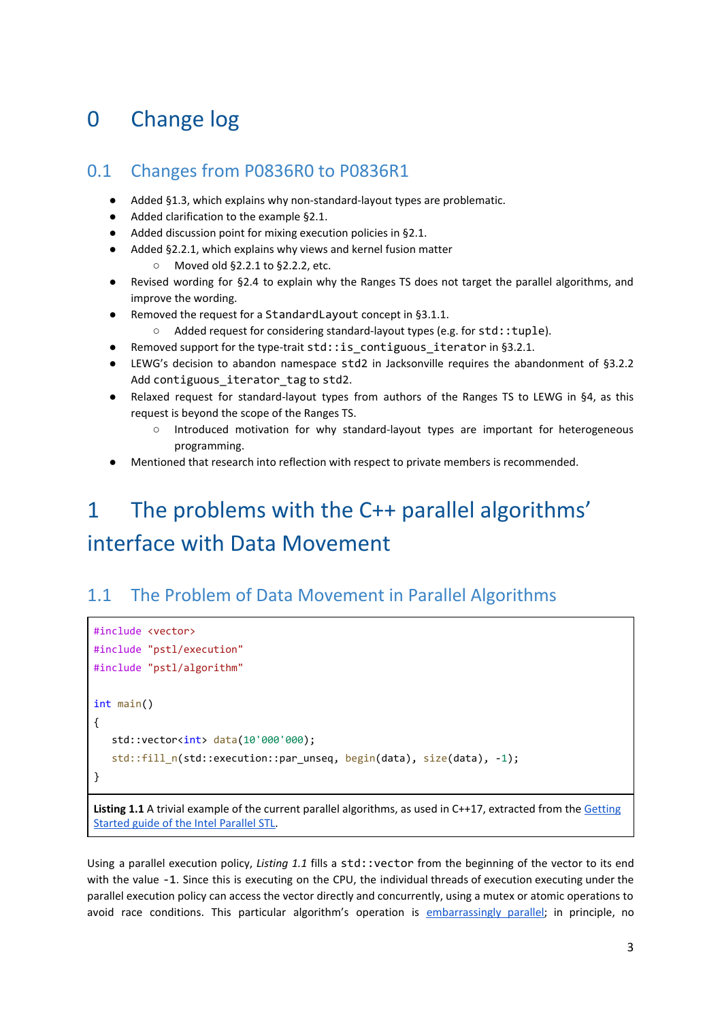## <span id="page-2-0"></span>0 Change log

#### <span id="page-2-1"></span>0.1 Changes from P0836R0 to P0836R1

- Added §1.3, which explains why non-standard-layout types are problematic.
- Added clarification to the example §2.1.
- Added discussion point for mixing execution policies in §2.1.
- Added §2.2.1, which explains why views and kernel fusion matter
	- Moved old §2.2.1 to §2.2.2, etc.
- Revised wording for §2.4 to explain why the Ranges TS does not target the parallel algorithms, and improve the wording.
- Removed the request for a StandardLayout concept in §3.1.1.
	- Added request for considering standard-layout types (e.g. for std::tuple).
- Removed support for the type-trait  $std:$ : is contiguous iterator in §3.2.1.
- LEWG's decision to abandon namespace std2 in Jacksonville requires the abandonment of §3.2.2 Add contiguous iterator tag to std2.
- Relaxed request for standard-layout types from authors of the Ranges TS to LEWG in §4, as this request is beyond the scope of the Ranges TS.
	- Introduced motivation for why standard-layout types are important for heterogeneous programming.
- Mentioned that research into reflection with respect to private members is recommended.

## <span id="page-2-2"></span>1 The problems with the C++ parallel algorithms' interface with Data Movement

#### <span id="page-2-3"></span>1.1 The Problem of Data Movement in Parallel Algorithms

```
#include <vector>
#include "pstl/execution"
#include "pstl/algorithm"
int main()
{
    std::vector<int> data(10'000'000);
    std::fill_n(std::execution::par_unseq, begin(data), size(data), -1);
}
```
**Listing 1.1** A trivial example of the current parallel algorithms, as used in C++17, extracted from the [Getting](https://software.intel.com/en-us/get-started-with-pstl) Started guide of the Intel [Parallel](https://software.intel.com/en-us/get-started-with-pstl) STL.

Using a parallel execution policy, *Listing 1.1* fills a std::vector from the beginning of the vector to its end with the value -1. Since this is executing on the CPU, the individual threads of execution executing under the parallel execution policy can access the vector directly and concurrently, using a mutex or atomic operations to avoid race conditions. This particular algorithm's operation is [embarrassingly](#page-15-1) parallel; in principle, no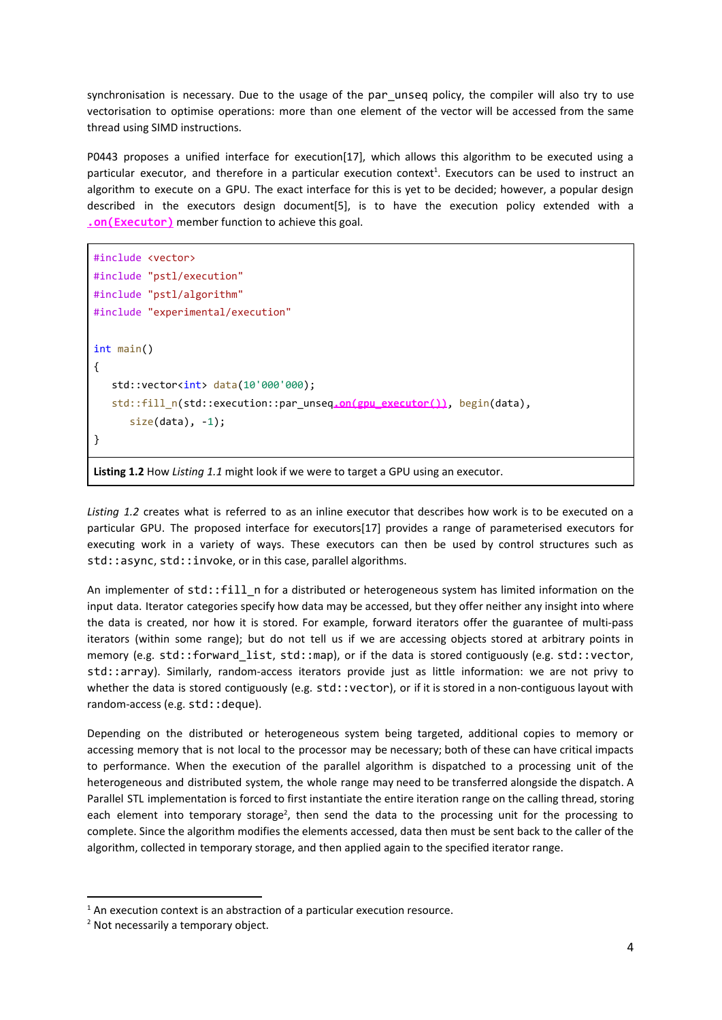synchronisation is necessary. Due to the usage of the par\_unseq policy, the compiler will also try to use vectorisation to optimise operations: more than one element of the vector will be accessed from the same thread using SIMD instructions.

P0443 proposes a unified interface for execution[17], which allows this algorithm to be executed using a particular executor, and therefore in a particular execution context<sup>1</sup>. Executors can be used to instruct an algorithm to execute on a GPU. The exact interface for this is yet to be decided; however, a popular design described in the executors design document[5], is to have the execution policy extended with a **.on(Executor)** member function to achieve this goal.

```
#include <vector>
#include "pstl/execution"
#include "pstl/algorithm"
#include "experimental/execution"
int main()
{
   std::vector<int> data(10'000'000);
    std::fill_n(std::execution::par_unseq.on(gpu_executor()), begin(data),
      size(data), -1);}
```
**Listing 1.2** How *Listing 1.1* might look if we were to target a GPU using an executor.

*Listing 1.2* creates what is referred to as an inline executor that describes how work is to be executed on a particular GPU. The proposed interface for executors[17] provides a range of parameterised executors for executing work in a variety of ways. These executors can then be used by control structures such as std::async, std::invoke, or in this case, parallel algorithms.

An implementer of std::fill\_n for a distributed or heterogeneous system has limited information on the input data. Iterator categories specify how data may be accessed, but they offer neither any insight into where the data is created, nor how it is stored. For example, forward iterators offer the guarantee of multi-pass iterators (within some range); but do not tell us if we are accessing objects stored at arbitrary points in memory (e.g. std::forward list, std::map), or if the data is stored contiguously (e.g. std::vector, std::array). Similarly, random-access iterators provide just as little information: we are not privy to whether the data is stored contiguously (e.g. std::vector), or if it is stored in a non-contiguous layout with random-access (e.g. std:: deque).

Depending on the distributed or heterogeneous system being targeted, additional copies to memory or accessing memory that is not local to the processor may be necessary; both of these can have critical impacts to performance. When the execution of the parallel algorithm is dispatched to a processing unit of the heterogeneous and distributed system, the whole range may need to be transferred alongside the dispatch. A Parallel STL implementation is forced to first instantiate the entire iteration range on the calling thread, storing each element into temporary storage<sup>2</sup>, then send the data to the processing unit for the processing to complete. Since the algorithm modifies the elements accessed, data then must be sent back to the caller of the algorithm, collected in temporary storage, and then applied again to the specified iterator range.

 $1$  An execution context is an abstraction of a particular execution resource.

<sup>&</sup>lt;sup>2</sup> Not necessarily a temporary object.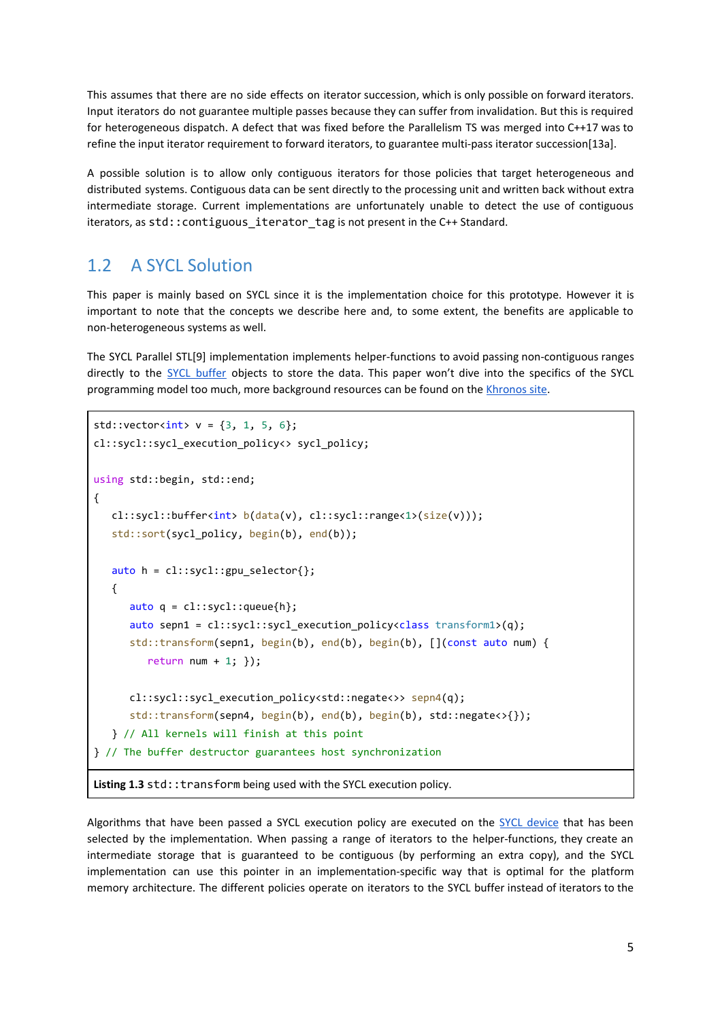This assumes that there are no side effects on iterator succession, which is only possible on forward iterators. Input iterators do not guarantee multiple passes because they can suffer from invalidation. But this is required for heterogeneous dispatch. A defect that was fixed before the Parallelism TS was merged into C++17 was to refine the input iterator requirement to forward iterators, to guarantee multi-pass iterator succession[13a].

A possible solution is to allow only contiguous iterators for those policies that target heterogeneous and distributed systems. Contiguous data can be sent directly to the processing unit and written back without extra intermediate storage. Current implementations are unfortunately unable to detect the use of contiguous iterators, as std::contiguous\_iterator\_tag is not present in the C++ Standard.

#### <span id="page-4-0"></span>1.2 A SYCL Solution

This paper is mainly based on SYCL since it is the implementation choice for this prototype. However it is important to note that the concepts we describe here and, to some extent, the benefits are applicable to non-heterogeneous systems as well.

The SYCL Parallel STL[9] implementation implements helper-functions to avoid passing non-contiguous ranges directly to the SYCL [buffer](#page-15-1) objects to store the data. This paper won't dive into the specifics of the SYCL programming model too much, more background resources can be found on the [Khronos](https://www.khronos.org/sycl/resources) site.

```
std::vector<sub>int</sub> > v = {3, 1, 5, 6};cl::sycl::sycl_execution_policy<> sycl_policy;
using std::begin, std::end;
{
    cl::sycl::buffer<int> b(data(v), cl::sycl::range<1>(size(v)));
   std::sort(sycl_policy, begin(b), end(b));
   auto h = cl::sycl::gpu\_selector{} {
      auto q = cl::sycl::queue{h}; auto sepn1 = cl::sycl::sycl_execution_policy<class transform1>(q);
       std::transform(sepn1, begin(b), end(b), begin(b), [](const auto num) {
         return num + 1; });
       cl::sycl::sycl_execution_policy<std::negate<>> sepn4(q);
       std::transform(sepn4, begin(b), end(b), begin(b), std::negate<>{});
    } // All kernels will finish at this point
} // The buffer destructor guarantees host synchronization
Listing 1.3 std:: transform being used with the SYCL execution policy.
```
Algorithms that have been passed a SYCL execution policy are executed on the SYCL [device](#page-15-1) that has been selected by the implementation. When passing a range of iterators to the helper-functions, they create an intermediate storage that is guaranteed to be contiguous (by performing an extra copy), and the SYCL implementation can use this pointer in an implementation-specific way that is optimal for the platform memory architecture. The different policies operate on iterators to the SYCL buffer instead of iterators to the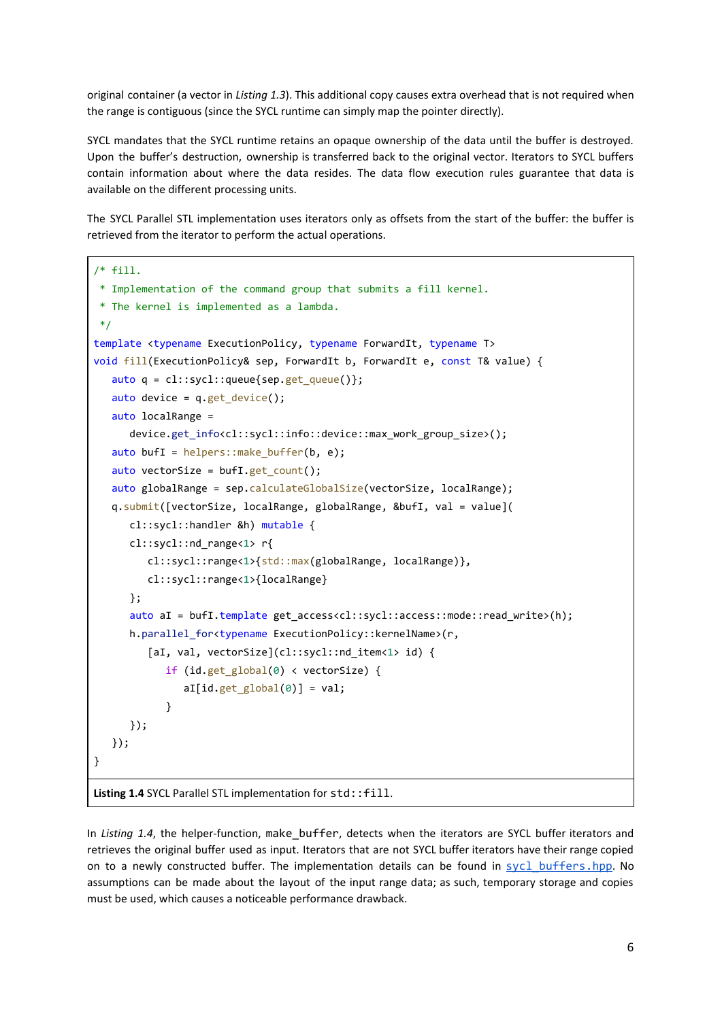original container (a vector in *Listing 1.3*). This additional copy causes extra overhead that is not required when the range is contiguous (since the SYCL runtime can simply map the pointer directly).

SYCL mandates that the SYCL runtime retains an opaque ownership of the data until the buffer is destroyed. Upon the buffer's destruction, ownership is transferred back to the original vector. Iterators to SYCL buffers contain information about where the data resides. The data flow execution rules guarantee that data is available on the different processing units.

The SYCL Parallel STL implementation uses iterators only as offsets from the start of the buffer: the buffer is retrieved from the iterator to perform the actual operations.

```
/* fill.
  * Implementation of the command group that submits a fill kernel.
  * The kernel is implemented as a lambda.
  */
template <typename ExecutionPolicy, typename ForwardIt, typename T>
void fill(ExecutionPolicy& sep, ForwardIt b, ForwardIt e, const T& value) {
   auto q = cl::sycl::queue\sep.get queue();
   auto device = q.get device();
    auto localRange =
       device.get_info<cl::sycl::info::device::max_work_group_size>();
   auto bufI = helpers:: make buffer(b, e);
   auto vectorSize = buf1.get count();
    auto globalRange = sep.calculateGlobalSize(vectorSize, localRange);
    q.submit([vectorSize, localRange, globalRange, &bufI, val = value](
       cl::sycl::handler &h) mutable {
       cl::sycl::nd_range<1> r{
          cl::sycl::range<1>{std::max(globalRange, localRange)},
          cl::sycl::range<1>{localRange}
       };
       auto aI = bufI.template get_access<cl::sycl::access::mode::read_write>(h);
       h.parallel_for<typename ExecutionPolicy::kernelName>(r,
         [aI, val, vectorSize](cl::sycl::nd item<1> id) {
             if (id.get_global(0) < vectorSize) {
               aI[id.get_global(0)] = val; }
       });
    });
}
```
**Listing 1.4** SYCL Parallel STL implementation for std::fill.

In *Listing 1.4*, the helper-function, make\_buffer, detects when the iterators are SYCL buffer iterators and retrieves the original buffer used as input. Iterators that are not SYCL buffer iterators have their range copied on to a newly constructed buffer. The implementation details can be found in sycl buffers.hpp. No assumptions can be made about the layout of the input range data; as such, temporary storage and copies must be used, which causes a noticeable performance drawback.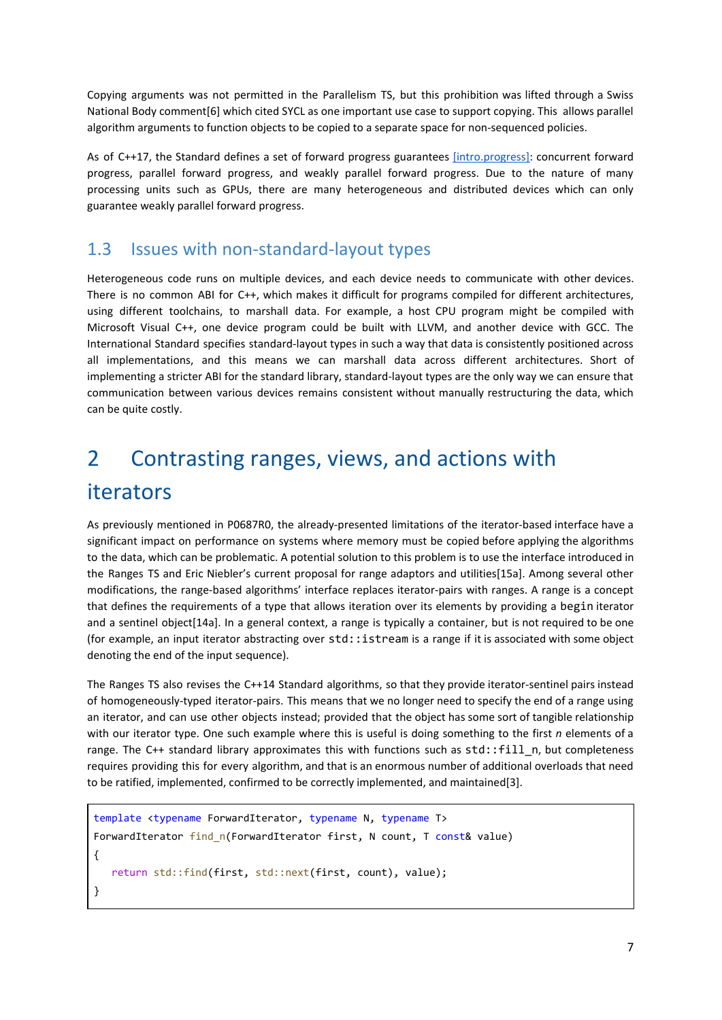Copying arguments was not permitted in the Parallelism TS, but this prohibition was lifted through a Swiss National Body comment[6] which cited SYCL as one important use case to support copying. This allows parallel algorithm arguments to function objects to be copied to a separate space for non-sequenced policies.

As of C++17, the Standard defines a set of forward progress guarantees [\[intro.progress\]:](http://eel.is/c++draft/intro.progress) concurrent forward progress, parallel forward progress, and weakly parallel forward progress. Due to the nature of many processing units such as GPUs, there are many heterogeneous and distributed devices which can only guarantee weakly parallel forward progress.

#### 1.3 Issues with non-standard-layout types

Heterogeneous code runs on multiple devices, and each device needs to communicate with other devices. There is no common ABI for C++, which makes it difficult for programs compiled for different architectures, using different toolchains, to marshall data. For example, a host CPU program might be compiled with Microsoft Visual C++, one device program could be built with LLVM, and another device with GCC. The International Standard specifies standard-layout types in such a way that data is consistently positioned across all implementations, and this means we can marshall data across different architectures. Short of implementing a stricter ABI for the standard library, standard-layout types are the only way we can ensure that communication between various devices remains consistent without manually restructuring the data, which can be quite costly.

## <span id="page-6-0"></span>2 Contrasting ranges, views, and actions with iterators

As previously mentioned in P0687R0, the already-presented limitations of the iterator-based interface have a significant impact on performance on systems where memory must be copied before applying the algorithms to the data, which can be problematic. A potential solution to this problem is to use the interface introduced in the Ranges TS and Eric Niebler's current proposal for range adaptors and utilities[15a]. Among several other modifications, the range-based algorithms' interface replaces iterator-pairs with ranges. A range is a concept that defines the requirements of a type that allows iteration over its elements by providing a begin iterator and a sentinel object[14a]. In a general context, a range is typically a container, but is not required to be one (for example, an input iterator abstracting over std::istream is a range if it is associated with some object denoting the end of the input sequence).

The Ranges TS also revises the C++14 Standard algorithms, so that they provide iterator-sentinel pairs instead of homogeneously-typed iterator-pairs. This means that we no longer need to specify the end of a range using an iterator, and can use other objects instead; provided that the object has some sort of tangible relationship with our iterator type. One such example where this is useful is doing something to the first *n* elements of a range. The C++ standard library approximates this with functions such as std::fill\_n, but completeness requires providing this for every algorithm, and that is an enormous number of additional overloads that need to be ratified, implemented, confirmed to be correctly implemented, and maintained[3].

```
template <typename ForwardIterator, typename N, typename T>
ForwardIterator find_n(ForwardIterator first, N count, T const& value)
{
    return std::find(first, std::next(first, count), value);
}
```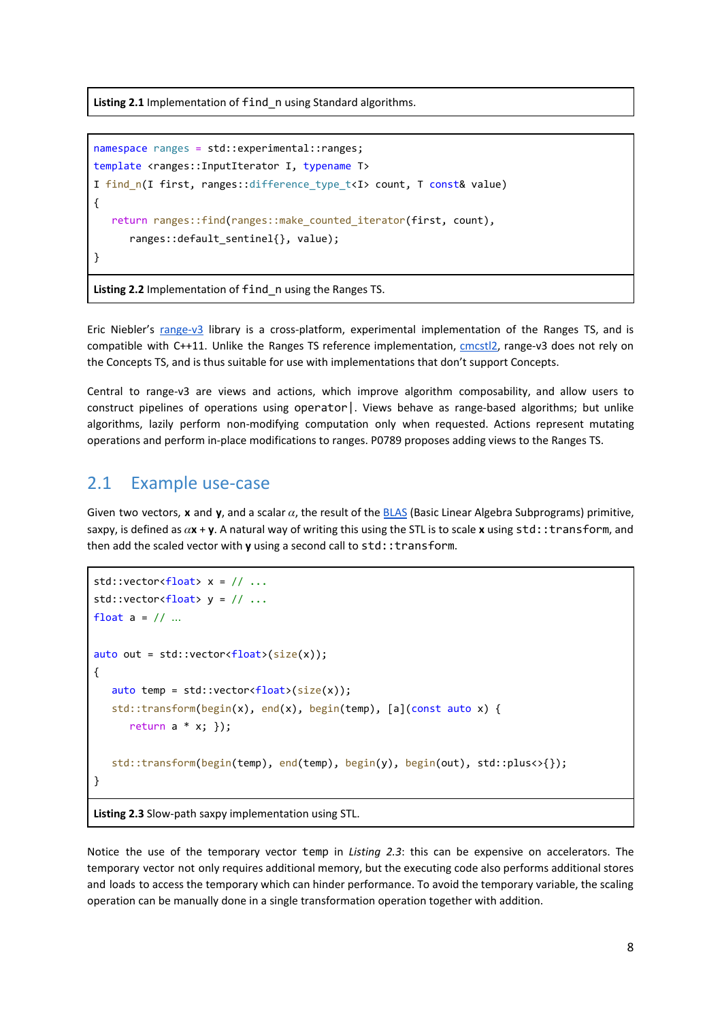**Listing 2.1** Implementation of find\_n using Standard algorithms.

```
namespace ranges = std::experimental::ranges;
template <ranges::InputIterator I, typename T>
I find n(I first, ranges::difference_type_t<I> count, T const& value)
{
    return ranges::find(ranges::make_counted_iterator(first, count),
       ranges::default_sentinel{}, value);
}
```
**Listing 2.2** Implementation of find\_n using the Ranges TS.

Eric Niebler's [range-v3](https://github.com/ericniebler/range-v3) library is a cross-platform, experimental implementation of the Ranges TS, and is compatible with C++11. Unlike the Ranges TS reference implementation, [cmcstl2,](https://github.com/CaseyCarter/cmcstl2) range-v3 does not rely on the Concepts TS, and is thus suitable for use with implementations that don't support Concepts.

Central to range-v3 are views and actions, which improve algorithm composability, and allow users to construct pipelines of operations using operator|. Views behave as range-based algorithms; but unlike algorithms, lazily perform non-modifying computation only when requested. Actions represent mutating operations and perform in-place modifications to ranges. P0789 proposes adding views to the Ranges TS.

#### <span id="page-7-0"></span>2.1 Example use-case

Given two vectors, **x** and **y**, and a scalar  $\alpha$ , the result of the [BLAS](http://www.netlib.org/blas/) (Basic Linear Algebra Subprograms) primitive, saxpy, is defined as  $\alpha$ **x** + **y**. A natural way of writing this using the STL is to scale **x** using std::transform, and then add the scaled vector with **y** using a second call to std::transform.

```
std::vector<float> x = // ...
std::vector<del>float</del> > y = // ...float a = // ...auto out = std::vector<float>(size(x));{
   auto temp = std::vector<float>(size(x));
    std::transform(begin(x), end(x), begin(temp), [a](const auto x) {
       return a * x; });
    std::transform(begin(temp), end(temp), begin(y), begin(out), std::plus<>{});
}
```
**Listing 2.3** Slow-path saxpy implementation using STL.

Notice the use of the temporary vector temp in *Listing 2.3*: this can be expensive on accelerators. The temporary vector not only requires additional memory, but the executing code also performs additional stores and loads to access the temporary which can hinder performance. To avoid the temporary variable, the scaling operation can be manually done in a single transformation operation together with addition.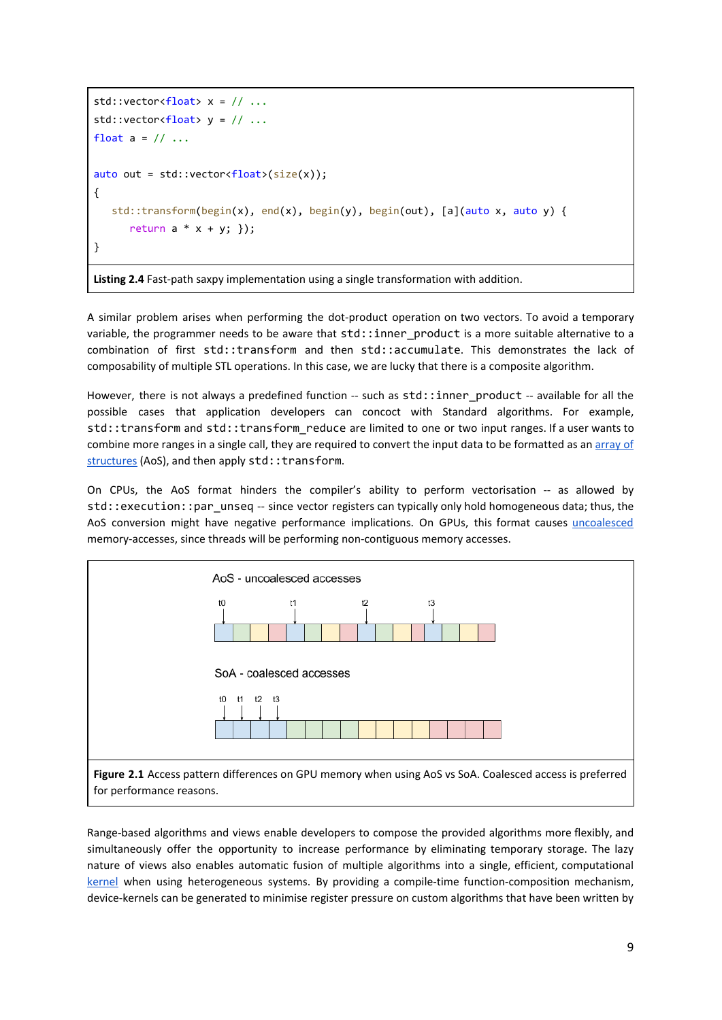```
std::vector<float> x = // ...std::vector<float> y = // ...float a = // ...auto out = std::vector<float>(size(x));{
   std::transform(begin(x), end(x), begin(y), begin(out), [a](auto x, auto y) {
     return a * x + y; });
}
```
**Listing 2.4** Fast-path saxpy implementation using a single transformation with addition.

A similar problem arises when performing the dot-product operation on two vectors. To avoid a temporary variable, the programmer needs to be aware that std::inner product is a more suitable alternative to a combination of first std::transform and then std::accumulate. This demonstrates the lack of composability of multiple STL operations. In this case, we are lucky that there is a composite algorithm.

However, there is not always a predefined function -- such as std::inner\_product -- available for all the possible cases that application developers can concoct with Standard algorithms. For example, std::transform and std::transform reduce are limited to one or two input ranges. If a user wants to combine more ranges in a single call, they are required to convert the input data to be formatted as an [array](https://software.intel.com/en-us/articles/how-to-manipulate-data-structure-to-optimize-memory-use-on-32-bit-intel-architecture) of [structures](https://software.intel.com/en-us/articles/how-to-manipulate-data-structure-to-optimize-memory-use-on-32-bit-intel-architecture) (AoS), and then apply std:: transform.

On CPUs, the AoS format hinders the compiler's ability to perform vectorisation -- as allowed by std::execution::par\_unseq -- since vector registers can typically only hold homogeneous data; thus, the AoS conversion might have negative performance implications. On GPUs, this format causes [uncoalesced](http://docs.nvidia.com/cuda/cuda-c-best-practices-guide/index.html#coalesced-access-to-global-memory) memory-accesses, since threads will be performing non-contiguous memory accesses.



Range-based algorithms and views enable developers to compose the provided algorithms more flexibly, and simultaneously offer the opportunity to increase performance by eliminating temporary storage. The lazy nature of views also enables automatic fusion of multiple algorithms into a single, efficient, computational [kernel](#page-15-1) when using heterogeneous systems. By providing a compile-time function-composition mechanism, device-kernels can be generated to minimise register pressure on custom algorithms that have been written by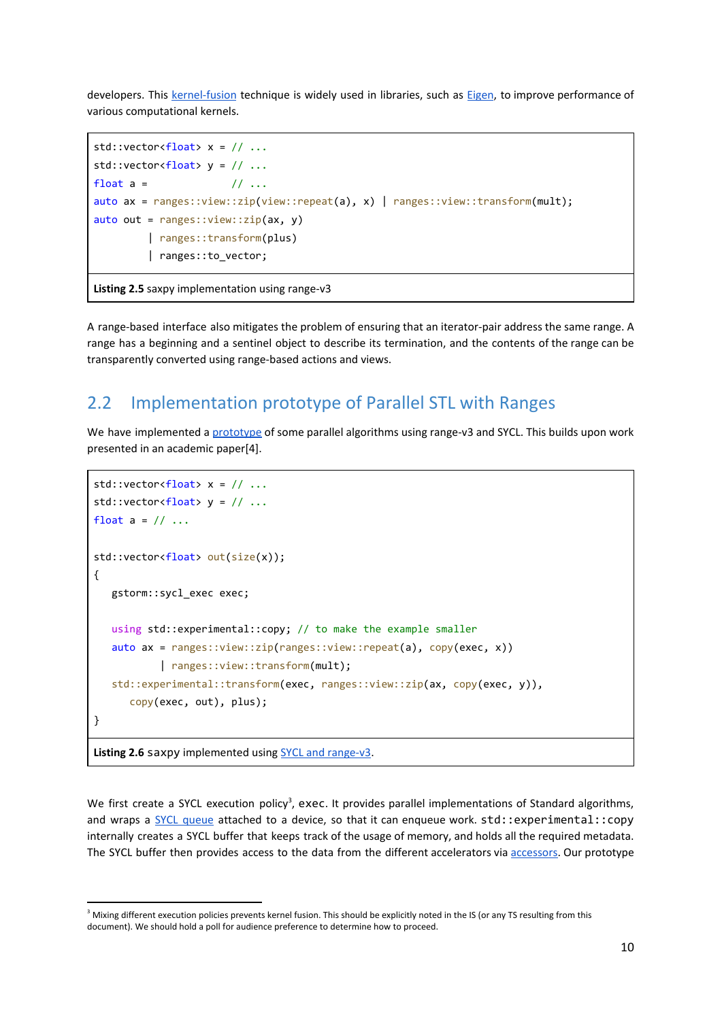developers. This [kernel-fusion](#page-15-1) technique is widely used in libraries, such as [Eigen,](http://eigen.tuxfamily.org/index.php?title=Main_Page#Overview) to improve performance of various computational kernels.

```
std::vector<float> x = // ...std::vector<float> y = // ...float a = // ...
auto ax = ranges::view::zip(view::repeat(a), x) | ranges::view::transform(mult);
auto out = ranges::view::zip(ax, y)
          | ranges::transform(plus)
          | ranges::to_vector;
Listing 2.5 saxpy implementation using range-v3
```
A range-based interface also mitigates the problem of ensuring that an iterator-pair address the same range. A range has a beginning and a sentinel object to describe its termination, and the contents of the range can be transparently converted using range-based actions and views.

#### <span id="page-9-0"></span>2.2 Implementation prototype of Parallel STL with Ranges

We have implemented a [prototype](https://github.com/codeplaysoftware/parallelts-range-exploration) of some parallel algorithms using range-v3 and SYCL. This builds upon work presented in an academic paper[4].

```
std::vector<float>} x = // ...std::vector<float> y = // ...float a = 1/1...
std::vector<float> out(size(x));
{
   gstorm::sycl_exec exec;
   using std::experimental::copy; // to make the example smaller
    auto ax = ranges::view::zip(ranges::view::repeat(a), copy(exec, x))
            | ranges::view::transform(mult);
    std::experimental::transform(exec, ranges::view::zip(ax, copy(exec, y)),
       copy(exec, out), plus);
}
```
**Listing 2.6** saxpy implemented using SYCL and [range-v3](https://github.com/codeplaysoftware/parallelts-range-exploration).

We first create a SYCL execution policy<sup>3</sup>, exec. It provides parallel implementations of Standard algorithms, and wraps a SYCL [queue](#page-15-1) attached to a device, so that it can enqueue work. std::experimental::copy internally creates a SYCL buffer that keeps track of the usage of memory, and holds all the required metadata. The SYCL buffer then provides access to the data from the different accelerators via [accessors.](#page-15-1) Our prototype

<sup>&</sup>lt;sup>3</sup> Mixing different execution policies prevents kernel fusion. This should be explicitly noted in the IS (or any TS resulting from this document). We should hold a poll for audience preference to determine how to proceed.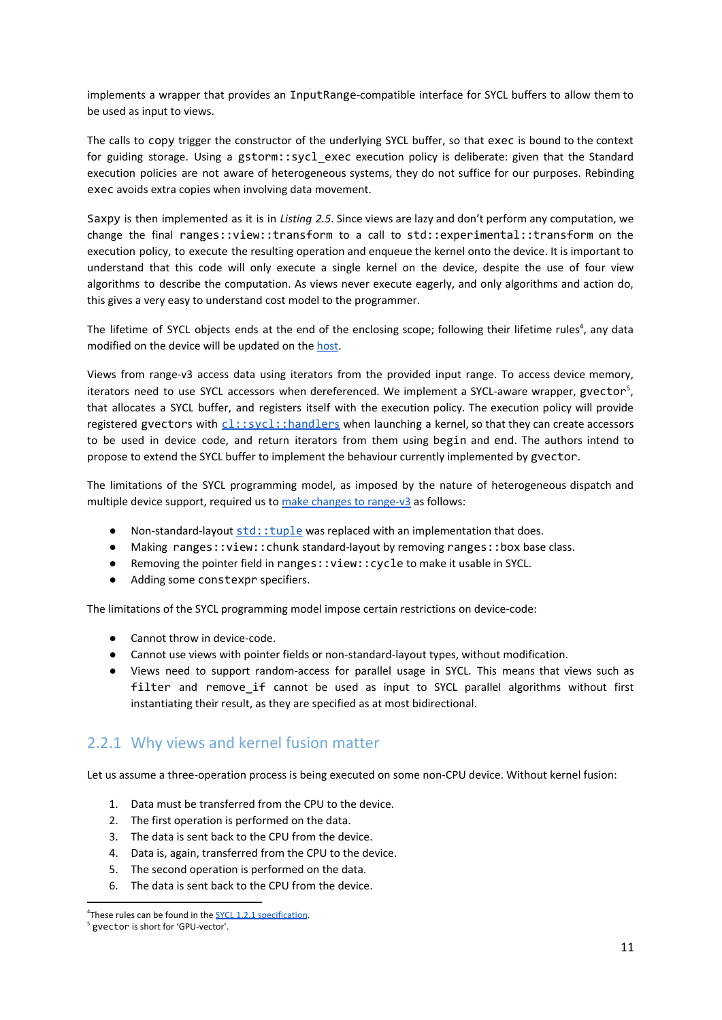implements a wrapper that provides an InputRange-compatible interface for SYCL buffers to allow them to be used as input to views.

The calls to copy trigger the constructor of the underlying SYCL buffer, so that exec is bound to the context for guiding storage. Using a gstorm::sycl exec execution policy is deliberate: given that the Standard execution policies are not aware of heterogeneous systems, they do not suffice for our purposes. Rebinding exec avoids extra copies when involving data movement.

Saxpy is then implemented as it is in *Listing 2.5*. Since views are lazy and don't perform any computation, we change the final ranges::view::transform to a call to std::experimental::transform on the execution policy, to execute the resulting operation and enqueue the kernel onto the device. It is important to understand that this code will only execute a single kernel on the device, despite the use of four view algorithms to describe the computation. As views never execute eagerly, and only algorithms and action do, this gives a very easy to understand cost model to the programmer.

The lifetime of SYCL objects ends at the end of the enclosing scope; following their lifetime rules<sup>4</sup>, any data modified on the device will be updated on the [host](#page-15-1).

Views from range-v3 access data using iterators from the provided input range. To access device memory, iterators need to use SYCL accessors when dereferenced. We implement a SYCL-aware wrapper, gvector<sup>5</sup>, that allocates a SYCL buffer, and registers itself with the execution policy. The execution policy will provide regi[s](#page-15-1)tered gvectors with  $cl::sycl::handlers$  $cl::sycl::handlers$  when launching a kernel, so that they can create accessors to be used in device code, and return iterators from them using begin and end. The authors intend to propose to extend the SYCL buffer to implement the behaviour currently implemented by gvector.

The limitations of the SYCL programming model, as imposed by the nature of heterogeneous dispatch and multiple device support, required us to make changes to [range-v3](https://github.com/codeplaysoftware/parallelts-range-exploration/blob/master/range-v3/sycl_range_v3.diff) as follows:

- Non-standard-layout  $std::tuple$  was replaced with an implementation that does.
- Making ranges::view::chunk standard-layout by removing ranges::box base class.
- Removing the pointer field in ranges::view::cycle to make it usable in SYCL.
- Adding some constexpr specifiers.

The limitations of the SYCL programming model impose certain restrictions on device-code:

- Cannot throw in device-code.
- Cannot use views with pointer fields or non-standard-layout types, without modification.
- Views need to support random-access for parallel usage in SYCL. This means that views such as filter and remove\_if cannot be used as input to SYCL parallel algorithms without first instantiating their result, as they are specified as at most bidirectional.

#### <span id="page-10-0"></span>2.2.1 Why views and kernel fusion matter

Let us assume a three-operation process is being executed on some non-CPU device. Without kernel fusion:

- 1. Data must be transferred from the CPU to the device.
- 2. The first operation is performed on the data.
- 3. The data is sent back to the CPU from the device.
- 4. Data is, again, transferred from the CPU to the device.
- 5. The second operation is performed on the data.
- 6. The data is sent back to the CPU from the device.

<sup>&</sup>lt;sup>4</sup>These rules can be found in the **SYCL 1.2.1** [specification](https://www.khronos.org/registry/SYCL/specs/sycl-1.2.1.pdf).

<sup>5</sup> gvector is short for 'GPU-vector'.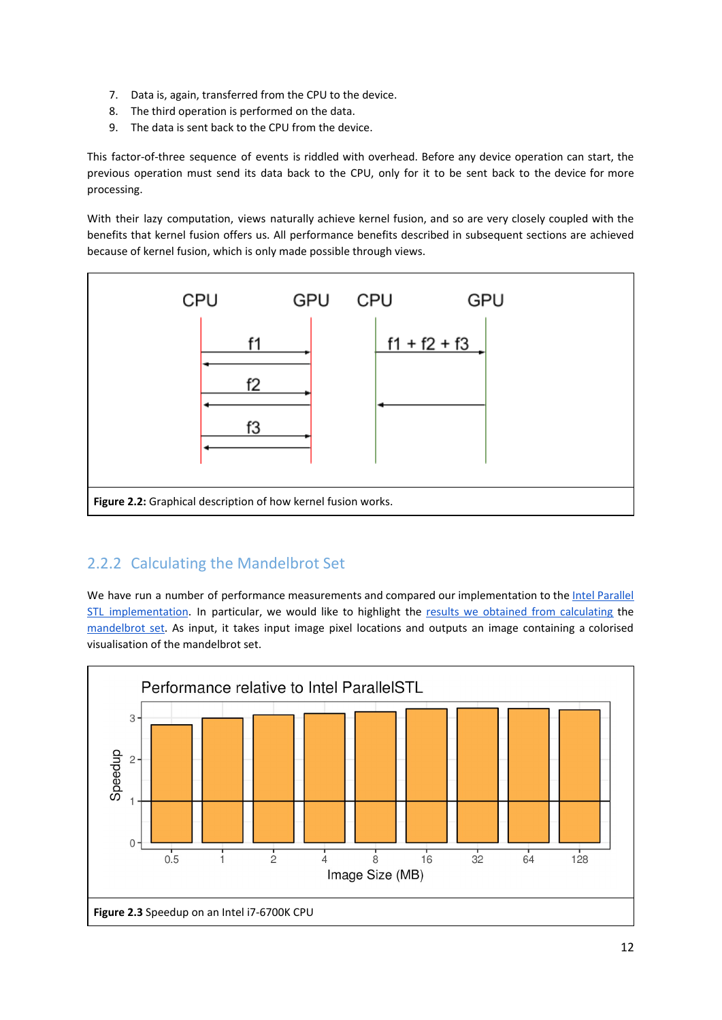- 7. Data is, again, transferred from the CPU to the device.
- 8. The third operation is performed on the data.
- 9. The data is sent back to the CPU from the device.

This factor-of-three sequence of events is riddled with overhead. Before any device operation can start, the previous operation must send its data back to the CPU, only for it to be sent back to the device for more processing.

With their lazy computation, views naturally achieve kernel fusion, and so are very closely coupled with the benefits that kernel fusion offers us. All performance benefits described in subsequent sections are achieved because of kernel fusion, which is only made possible through views.



#### <span id="page-11-0"></span>2.2.2 Calculating the Mandelbrot Set

We have run a number of performance measurements and compared our implementation to the Intel [Parallel](https://github.com/intel/parallelstl) STL [implementation](https://github.com/intel/parallelstl). In particular, we would like to highlight the results we obtained from [calculating](https://github.com/codeplaysoftware/parallelts-range-exploration/blob/master/examples/tests/mandelbrot.cpp) the [mandelbrot](https://en.wikipedia.org/wiki/Mandelbrot_set) set. As input, it takes input image pixel locations and outputs an image containing a colorised visualisation of the mandelbrot set.

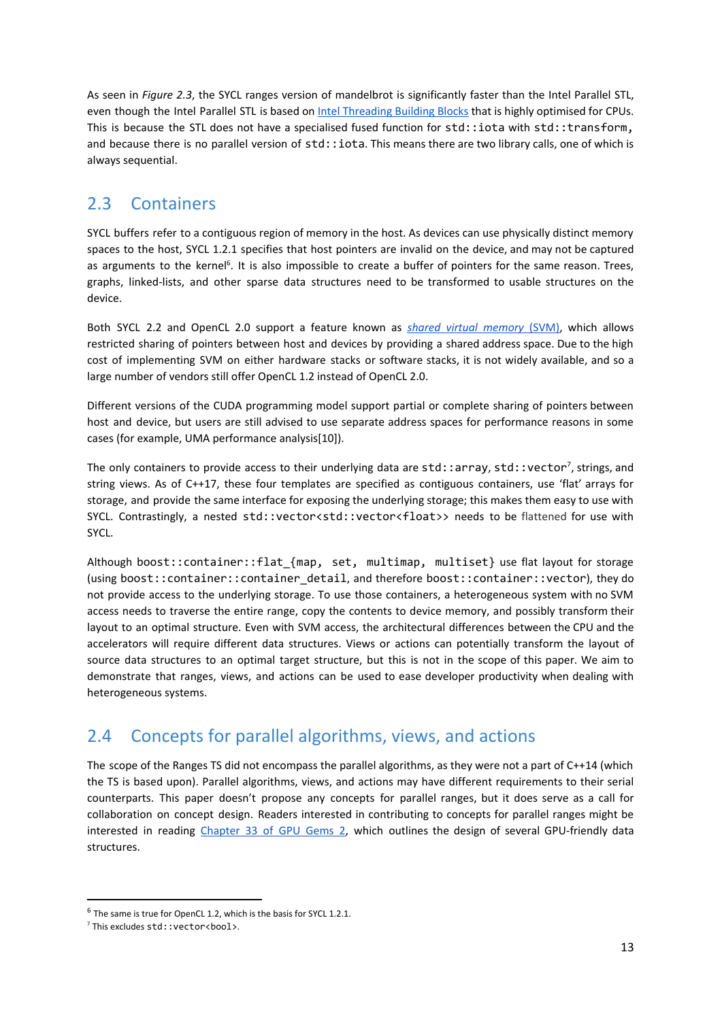As seen in *Figure 2.3*, the SYCL ranges version of mandelbrot is significantly faster than the Intel Parallel STL, even though the Intel Parallel STL is based on *Intel [Threading](https://www.threadingbuildingblocks.org/) Building Blocks* that is highly optimised for CPUs. This is because the STL does not have a specialised fused function for std::iota with std::transform, and because there is no parallel version of std::iota. This means there are two library calls, one of which is always sequential.

#### <span id="page-12-0"></span>2.3 Containers

SYCL buffers refer to a contiguous region of memory in the host. As devices can use physically distinct memory spaces to the host, SYCL 1.2.1 specifies that host pointers are invalid on the device, and may not be captured as arguments to the kernel<sup>6</sup>. It is also impossible to create a buffer of pointers for the same reason. Trees, graphs, linked-lists, and other sparse data structures need to be transformed to usable structures on the device.

Both SYCL 2.2 and OpenCL 2.0 support a feature known as *shared virtual [memory](#page-15-1)* [\(SVM\)](#page-15-1), which allows restricted sharing of pointers between host and devices by providing a shared address space. Due to the high cost of implementing SVM on either hardware stacks or software stacks, it is not widely available, and so a large number of vendors still offer OpenCL 1.2 instead of OpenCL 2.0.

Different versions of the CUDA programming model support partial or complete sharing of pointers between host and device, but users are still advised to use separate address spaces for performance reasons in some cases (for example, UMA performance analysis[10]).

The only containers to provide access to their underlying data are std::array, std::vector<sup>7</sup>, strings, and string views. As of C++17, these four templates are specified as contiguous containers, use 'flat' arrays for storage, and provide the same interface for exposing the underlying storage; this makes them easy to use with SYCL. Contrastingly, a nested std::vector<std::vector<float>> needs to be flattened for use with SYCL.

Although boost::container::flat\_{map, set, multimap, multiset} use flat layout for storage (using boost::container::container\_detail, and therefore boost::container::vector), they do not provide access to the underlying storage. To use those containers, a heterogeneous system with no SVM access needs to traverse the entire range, copy the contents to device memory, and possibly transform their layout to an optimal structure. Even with SVM access, the architectural differences between the CPU and the accelerators will require different data structures. Views or actions can potentially transform the layout of source data structures to an optimal target structure, but this is not in the scope of this paper. We aim to demonstrate that ranges, views, and actions can be used to ease developer productivity when dealing with heterogeneous systems.

#### <span id="page-12-1"></span>2.4 Concepts for parallel algorithms, views, and actions

The scope of the Ranges TS did not encompass the parallel algorithms, as they were not a part of C++14 (which the TS is based upon). Parallel algorithms, views, and actions may have different requirements to their serial counterparts. This paper doesn't propose any concepts for parallel ranges, but it does serve as a call for collaboration on concept design. Readers interested in contributing to concepts for parallel ranges might be interested in reading [Chapter](https://developer.nvidia.com/gpugems/GPUGems2/gpugems2_chapter33.html) 33 of GPU Gems 2, which outlines the design of several GPU-friendly data structures.

 $6$  The same is true for OpenCL 1.2, which is the basis for SYCL 1.2.1.

 $^7$  This excludes  $std$ ::vector<br/>bool>.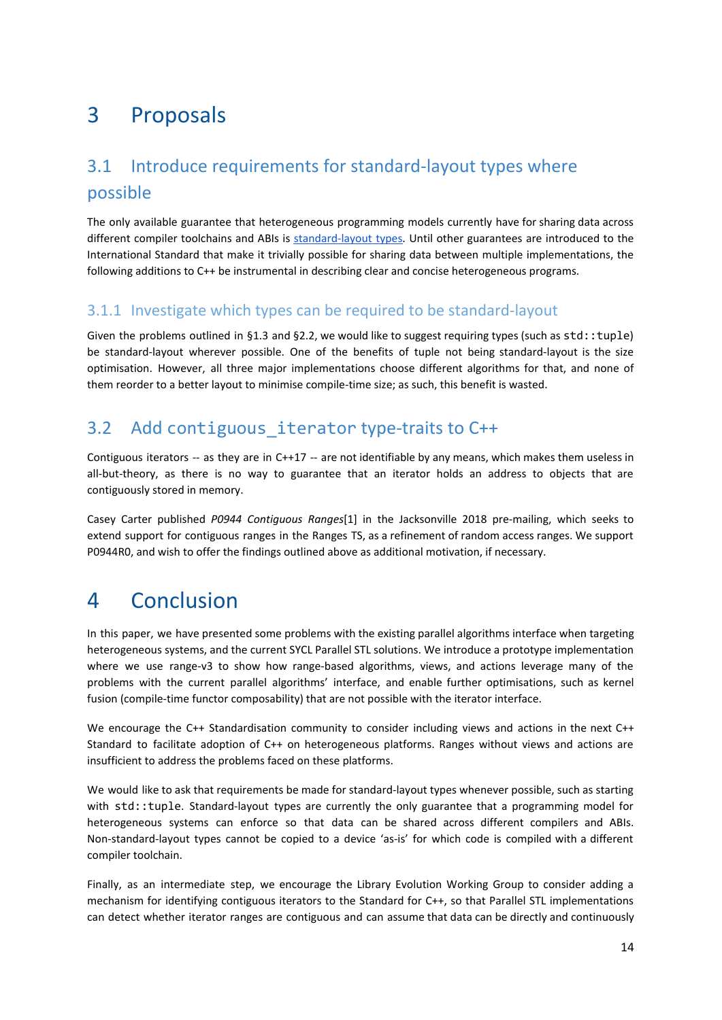## <span id="page-13-0"></span>3 Proposals

### <span id="page-13-1"></span>3.1 Introduce requirements for standard-layout types where possible

The only available guarantee that heterogeneous programming models currently have for sharing data across different compiler toolchains and ABIs is [standard-layout](http://eel.is/c++draft/basic.types#9) types. Until other guarantees are introduced to the International Standard that make it trivially possible for sharing data between multiple implementations, the following additions to C++ be instrumental in describing clear and concise heterogeneous programs.

#### <span id="page-13-2"></span>3.1.1 Investigate which types can be required to be standard-layout

Given the problems outlined in §1.3 and §2.2, we would like to suggest requiring types (such as std::tuple) be standard-layout wherever possible. One of the benefits of tuple not being standard-layout is the size optimisation. However, all three major implementations choose different algorithms for that, and none of them reorder to a better layout to minimise compile-time size; as such, this benefit is wasted.

#### <span id="page-13-3"></span>3.2 Add contiguous iterator type-traits to C++

Contiguous iterators -- as they are in C++17 -- are not identifiable by any means, which makes them useless in all-but-theory, as there is no way to guarantee that an iterator holds an address to objects that are contiguously stored in memory.

Casey Carter published *P0944 Contiguous Ranges*[1] in the Jacksonville 2018 pre-mailing, which seeks to extend support for contiguous ranges in the Ranges TS, as a refinement of random access ranges. We support P0944R0, and wish to offer the findings outlined above as additional motivation, if necessary.

## <span id="page-13-4"></span>4 Conclusion

In this paper, we have presented some problems with the existing parallel algorithms interface when targeting heterogeneous systems, and the current SYCL Parallel STL solutions. We introduce a prototype implementation where we use range-v3 to show how range-based algorithms, views, and actions leverage many of the problems with the current parallel algorithms' interface, and enable further optimisations, such as kernel fusion (compile-time functor composability) that are not possible with the iterator interface.

We encourage the C++ Standardisation community to consider including views and actions in the next C++ Standard to facilitate adoption of C++ on heterogeneous platforms. Ranges without views and actions are insufficient to address the problems faced on these platforms.

We would like to ask that requirements be made for standard-layout types whenever possible, such as starting with std::tuple. Standard-layout types are currently the only guarantee that a programming model for heterogeneous systems can enforce so that data can be shared across different compilers and ABIs. Non-standard-layout types cannot be copied to a device 'as-is' for which code is compiled with a different compiler toolchain.

Finally, as an intermediate step, we encourage the Library Evolution Working Group to consider adding a mechanism for identifying contiguous iterators to the Standard for C++, so that Parallel STL implementations can detect whether iterator ranges are contiguous and can assume that data can be directly and continuously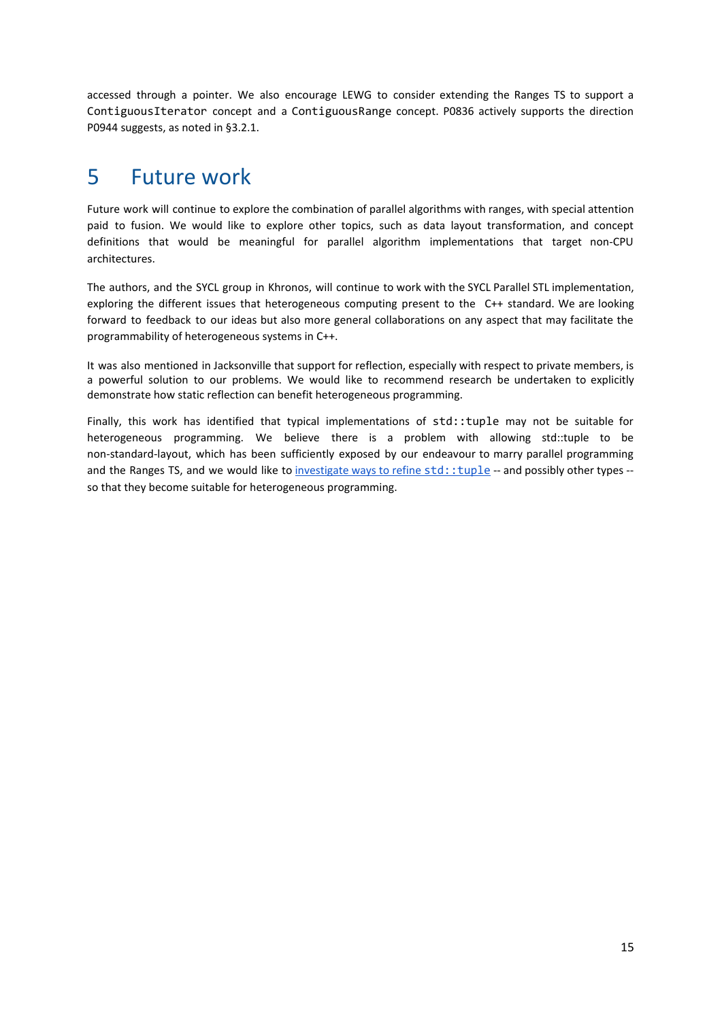accessed through a pointer. We also encourage LEWG to consider extending the Ranges TS to support a ContiguousIterator concept and a ContiguousRange concept. P0836 actively supports the direction P0944 suggests, as noted in §3.2.1.

### <span id="page-14-0"></span>5 Future work

Future work will continue to explore the combination of parallel algorithms with ranges, with special attention paid to fusion. We would like to explore other topics, such as data layout transformation, and concept definitions that would be meaningful for parallel algorithm implementations that target non-CPU architectures.

The authors, and the SYCL group in Khronos, will continue to work with the SYCL Parallel STL implementation, exploring the different issues that heterogeneous computing present to the C++ standard. We are looking forward to feedback to our ideas but also more general collaborations on any aspect that may facilitate the programmability of heterogeneous systems in C++.

It was also mentioned in Jacksonville that support for reflection, especially with respect to private members, is a powerful solution to our problems. We would like to recommend research be undertaken to explicitly demonstrate how static reflection can benefit heterogeneous programming.

Finally, this work has identified that typical implementations of std::tuple may not be suitable for heterogeneous programming. We believe there is a problem with allowing std::tuple to be non-standard-layout, which has been sufficiently exposed by our endeavour to marry parallel programming and the Ranges TS, and we would like to [investigate](https://github.com/codeplaysoftware/parallelts-range-exploration/issues/21) ways to refine [std::tuple](https://github.com/codeplaysoftware/parallelts-range-exploration/issues/21) -- and possibly other types -so that they become suitable for heterogeneous programming.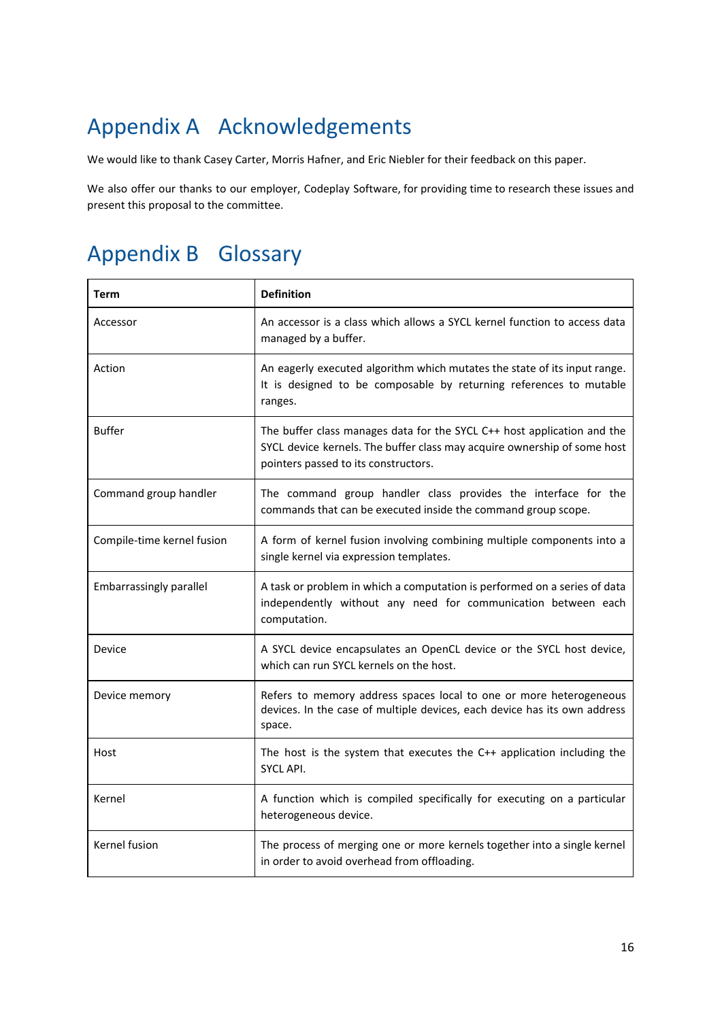## <span id="page-15-0"></span>Appendix A Acknowledgements

We would like to thank Casey Carter, Morris Hafner, and Eric Niebler for their feedback on this paper.

We also offer our thanks to our employer, Codeplay Software, for providing time to research these issues and present this proposal to the committee.

## <span id="page-15-1"></span>Appendix B Glossary

| Term                       | <b>Definition</b>                                                                                                                                                                           |
|----------------------------|---------------------------------------------------------------------------------------------------------------------------------------------------------------------------------------------|
| Accessor                   | An accessor is a class which allows a SYCL kernel function to access data<br>managed by a buffer.                                                                                           |
| Action                     | An eagerly executed algorithm which mutates the state of its input range.<br>It is designed to be composable by returning references to mutable<br>ranges.                                  |
| <b>Buffer</b>              | The buffer class manages data for the SYCL C++ host application and the<br>SYCL device kernels. The buffer class may acquire ownership of some host<br>pointers passed to its constructors. |
| Command group handler      | The command group handler class provides the interface for the<br>commands that can be executed inside the command group scope.                                                             |
| Compile-time kernel fusion | A form of kernel fusion involving combining multiple components into a<br>single kernel via expression templates.                                                                           |
| Embarrassingly parallel    | A task or problem in which a computation is performed on a series of data<br>independently without any need for communication between each<br>computation.                                  |
| Device                     | A SYCL device encapsulates an OpenCL device or the SYCL host device,<br>which can run SYCL kernels on the host.                                                                             |
| Device memory              | Refers to memory address spaces local to one or more heterogeneous<br>devices. In the case of multiple devices, each device has its own address<br>space.                                   |
| Host                       | The host is the system that executes the $C++$ application including the<br><b>SYCL API.</b>                                                                                                |
| Kernel                     | A function which is compiled specifically for executing on a particular<br>heterogeneous device.                                                                                            |
| Kernel fusion              | The process of merging one or more kernels together into a single kernel<br>in order to avoid overhead from offloading.                                                                     |